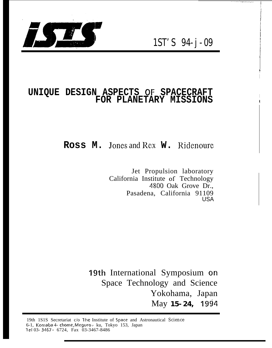



# UNIQUE DESIGN ASPECTS OF SPACECRAFT FOR PLANETARY MISSIONS

# Ross M. Jones and Rex W. Ridenoure

Jet Propulsion laboratory California Institute of Technology 4800 Oak Grove Dr., Pasadena, California 91109 **USA** 

19th International Symposium on Space Technology and Science Yokohama, Japan May 15-24, 1994

19th 1S1S Secretariat c/o The Institute of Space and Astronautical Science 6-1, Komaba 4- chome, Meguro - ku, Tokyo 153, Japan Tel 03-3467 - 6724, Fax 03-3467-8486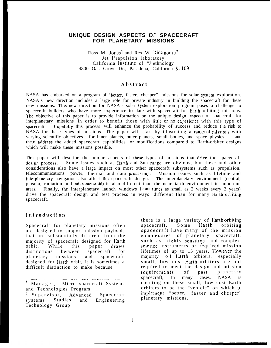## **UNIQUE DESIGN ASPECTS OF SPACECRAFT FOR PLANETARY MISSIONS**

Ross M. Jones<sup>†</sup> and Rex W. Ride noure<sup>\*</sup> Jet l'repulsion laboratory California lnstitutc of "J'ethnology 4800 Oak Grove Dr., Pasadena, California **91109**

#### **Abstraci**

NASA has embarked on a program of "better, faster, cheaper" missions for solar system exploration. NASA's new direction includes a large role for private industry in building the spacecraft for these new missions. This new direction for NASA's solar system exploration program poses a challenge to spacecraft builders who have more experience to date with spacecraft for Iiarth orbiting missions. The objective of this paper is to provide information on the unique design aspects of spacecraft for interplanetary missions in order to benefit those with little or no experience with this type of spacecraft. Hopefully this process will enhance the probability of success and reduce the risk to  $NASA$  for these types of missions. The paper will start by illustrating a range of missions with varying scientific objectives for inner planets, outer planets, small bodies, and space physics - and the.n address the added spacecraft capabilities or modifications compare.d to Iiarth-orbiter designs which will make these missions possible.

This paper will describe the unique aspects of these types of missions that drive the spacecraft design process. Some issues such as Earth and Sun range are obvious, but these and other considerations also have a large impact on most other spacecraft subsystems such as propulsion, telecommunications, power, thermal and data processing:. Mission issues such as lifetime and interplanetary navigation also affect the spacecraft design. The interplanetary environment (neutral, plasma, radiation and micrometeroid) is also different than the near-liarth environment in important areas. Finally, the interplanetary launch windows (some times as small as  $2$  weeks every  $2$  years) drive the spacecraft design and test process in ways different than for many Iiarth-orbiting spacecraft.

#### Introduction

Spacecraft for planetary missions often are designed to support mission payloads that arc substantially different from the majority of spacecraft designed for Earth orbit. While this paper draws distinctions between spacecraft for planetary missions and spacecraft designed for Harth orbit, it is sometimes a difficult distinction to make because

-— —-- .—. -—— ——— —-— —— .. .. —-. ——-. —— —-. .\_\_— \_\_ . . . . . . .—

Manager, Micro spacecraft Systems and Technologies Program

1" Supervisor, Advanced Spacecraft systems Studies and Engineering Technology Group

there is a large variety of Earth orbiting<br>spacecraft. Some Earth orbiting spacecraft. spacecraft have many of the mission complexities of planetary spacecraft, such as highly sensitive and complex. scicnce instruments or required mission lifetimes of up to 15 years. IIowevcr the majority of Harth orbiters, especially small, low cost Earth orbiters are not required to meet the design and mission requirements of past planetary spacecraft, In many cases, NASA is counting on these small, low cost Earth orbiters to be the "vehicle" on which to implement "better, faster and cheaper" planetary missions.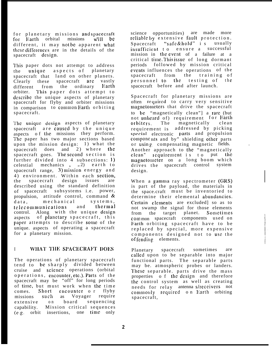for planetary missions and spacecraft<br>for Earth orbital missions will be for Earth orbital different, it may not be apparent what these differences are in the details of the spacecraft design.

This paper dots not attempt to address the unique aspects of planetary spacecraft that land on other planets. Clearly these spacecraft are vastly different from the ordinary Earth orbiter. This paper dots attempt to describe the unique aspects of planetary spacecraft for flyby and orbiter missions in comparison to common Earth orbiting spacecraft.

The unique design aspects of planetary spacecraft  $\alpha$  are caused by the unique aspects of the missions they perform. The paper has two major sections based upon the mission design:  $1)$  what the spacecraft does and 2) where the spacecraft goes. The second section is further divided into 4 subsections: 1) celestial mechanics  $, -2$  earth to spacecraft range, 3) mission energy and 4) environment. Within each section, the spacecraft design issues are described using the standard definition of spacecraft subsystems i.e. power, propulsion, attitude control, command & data. mechanical systems. data, mechanical systems,<br>telecommunications and thermal telecommunications and control. Along with the unique design aspects of planetary spacecraft, this paper attempts to describe some of the unique. aspects of operating a spacecraft for a planetary mission.

# I WHAT THE SPACECRAFT DOES

The operations of planetary spacecraft tend to be sharply divided between cruise and Scicncc operations (orbital operations, encounter, etc.). Parts of the spacecraft may be "off" for long periods of time, but must work when the tim e comes. Short encounter o r flyby<br>missions such as Voyager require missions such as extensive on board sequencing capability. Mission critical sequences (C. g. orbit insertions, one time only

science opportunities) are made more reliable by extensive fault protection. Spacecraft "safe&hold" i s usually insufficient to ensure a successful mission in the event of a failure at a critical time. This issue of long dormant periods followed by mission critical events influences the operations of the spacecraft from the training of personnel to the testing of the spacecraft before and after launch.

Spacecraft for planetary missions are often required to carry very sensitive magnetometers that drive the spacecraft to bc "magnetically clean"] a rare (but not unheard of) requirement for Earth orbiters. The magnetically clean requirement is addressed by picking special electronic parts and propulsion components and by" shielding other parts or using compensating magnetic fields. Another approach to the "magnetically  $clean''$  requirement is to put the magnetometer on a long boom which drives the spacecraft control system design.

When a gamma ray spectrometer (GRS) is part of the payload, the materials in the space.craft must be inventoried to determine their elemental abundancies. Certain elements are excluded] so as to not swamp the signal for those elements from the target planet. Sometimes com mon spacecraft components used on Earth orbiting spacecraft have to be replaced by special, more expensive components designed not to use the of fending elements.

Planetary spacecraft sometimes are called upon to be separable into major functional parts. The separable parts may be. atmospheric probes or landers. These separable. parts drive the mass properties of the design and therefore the control system as well as creating needs for relay antenna s/receivers not commonly required on Earth orbiting spacecraft,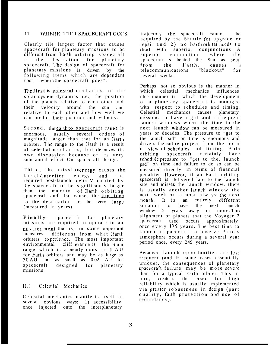# 11 WHERE '1'1111 SPACECRAFT GOES

Clearly tile largest factor that causes spacecraft for planetary missions to be different from Harth orbiting spacecraft is the destination for planetary spacecraft. The design of spacecraft for planetary missions is driven by the following items which are dependent upon "where the spacecraft goes".

The first is celestial mechanics. or the solar system dynamics i.e., the position of the planets relative to each other and their velocity around the sun and relative to each other and how well we can predict their position and velocity.

Second, the earth to spacecraft range is enormous, usually several orders of magnitude larger than that for an Earth orbiter. The range to the Harth is a result of celestial mechanics, but deserves its own discussion because of its very substantial effect On spacecraft design.

Third, the missionenergy causes the launch/injection energy and the required post-launch delta V carried by the spacecraft to be significantly larger than the majority of Earth orbitin g spacecraft and also causes the trip time to the destination to be very large (measured in years).

**Fjn ally,** spacecraft for planetary missions are required to operate in an environment that is, in some important measures, different from what Earth orbiters experience. The most important<br>environmental cliff erence is the Sun cliff crence is the  $S$ un range which is a nearly constant 1 A U for Earth orbiters and may be as large as 30 AIJ and as small as 0.02 AU for spacecraft designed for planetary missions.

#### Celestial Mechanics  $11.1$

Celestial mechanics manifests itself in several obvious ways: 1) accessibility, once injected onto the interplanetary

trajectory the spacecraft cannot be acquired by the Shuttle for upgrade or repair and 2) no Earth orbiter needs to deal with superior conjunctions. A superior conjunction, where the spacecraft is behind the Sun as seen from the Earth, causes<br>telecommunications "blackout"  $\mathbf{a}$ telecommunications "blackout" for several weeks.

Perhaps not so obvious is the manner in which celestial mechanics influences the manner in which the development of a planetary spacecraft is manage d with respect to schedules and timing.<br>Celestial mechanics causes planetary mechanics causes planetary missions to have rigid and infrequent launch windows where the time to the next launch wjndow can be measured in years or decades. The pressure to "get to the launch pad" on time is enormous and drive s the entire project from the point of view of schedules and timing. Earth orbiting spacecraft certainly have schedule pressure to "get to the. launch pad" on time and failure to do so can be measured directly in terms of financial penalties. llowever, if an Earth orbiting spacecraft is delivered late to the launch site and misses the launch window, there is usually another launch window the next week or almost always the next month. It is an entirely different situation to have the next launch<br>window 2 years away or more. The window 2 years away or more. The alignment of planets that the Voyager 2 spacecraft used occurs approximately once every 176 years. The best time to launch a spacecraft to observe Pluto's atmosphere occurs during a several year period once. every 249 years.

Because launch opportunities arc less frequent (and in some cases essentially unique), the consequences of planetary spacecraft failure may be more severe than for a typical Earth orbiter. This in turn, create. s the need for high reliability which is usually implemented via greater robustness in design (part quality, fault protection and use of redundancy).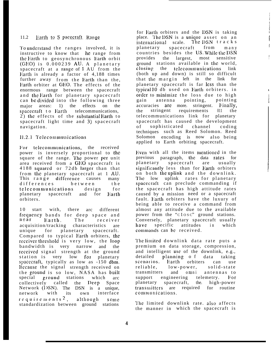# 11.2 Earth to S pacecraft Range

To understand the ranges involved, it is instructive to know that he range from the Earth to geosynchronous Earth orbit  $(GEO)$  is  $0.000239$  AU. A planetary spacecraft at a range of  $1 \text{ AU}$  from the Earth is already a factor of  $4,188$  times further away from the Earth than the, l;arth orbiter at GEC). The effects of the enormous range between the spacecraft and the Harth for planetary spacecraft can be divided into the following three major areas: 1) the effects on the spacecraft to Earth telecommunications,  $2)$  the effects of the substantial Earth to spacecraft light time and 3) spacecraft navigation.

# 11.2.1 Telecommunications

For telecommunications, the received power is inversely proportional to the square of the range. The power per unit area received from a GEO spacecraft is 4188 squared or 72db larger than that from the, planetary spacecraft at 1 AU, This range difference causes many differences between the telecommunications design for planetary spacecraft and for Earth orbiters.

10 start with, there arc different frcqLicncy bands for deep space an d near Earth. T h <sup>e</sup> receive <sup>r</sup> acquisition/tracking characteristics are<br>unique for planetary spacecraft. unique for planetary Compared to typical Earth orbiters, the receiver threshold is very low, the loop bandwidth is very narrow and the received signal strength at the ground station is very low for planetary spacecraft, typically as low as -150 dbm. Because the signal strength received on the ground is so low, NASA has built special ground stations which arc collectively called the Deep Space Network (I)SN). The DSN is a unique,<br>network with its own interface network with its own interface requirements<sup>2</sup>, although some standardization between ground stations

for Earth orbiters and the DSN is taking place. The DSN is a unique asset on an international scale. The DSN tracks planetary spacecraft from many countries besides the US. While the DSN provides the largest, most sensitive most sensitive <sup>1</sup> ground stations available in the world, closing the telecommunications link (both up and down) is still so difficult that the margin left in the link for planetary spacecraft is far less than the typical 10 db used on Earth orbiters. in order to minimize the loss due to high gain antenna pointing, pointing accuracies are more. stringent. Finally, the stringent requirements <sup>011</sup> the telecommunications link for planetary spacecraft has caused the development of sophisticated channel coding techniques such as Reed Solomon. Reed Solomon encoding is now also being applied to Earth orbiting spacecraft.

i f I

[

 $\mathbf{I}$ 

**I**

Even with all the items mentioned in the previous paragraph, the data rates for planetary spacecraft are usually significantly less than for Earth orbiters on both the uplink and the downlink. The low uplink rates for planetary spacecraft can preclude commanding if the spacecraft has high attitude rates caused by a mission need or a spacecraft fault. Earth orbiters have the luxury of being able to receive a command from almost any attitude due to the available power from the "closc" ground stations. Conversely, planetary spacecraft usually have specific attitudes in which  $commands$  can be received.

The limited downlink data rate puts a premium on data storage, compression, and intelligent use of the downlink, e.g., detailed planning of data taking scenarios. Earth orbiters can use<br>reliable. low-power, solid-state  $low-power,$  solid-state transmitters and omni antennas to<br>support engineering telemetry. For support engineering planetary spacecraft, the. high-power transmitters are required for routine communications.

The limited downlink rate. also affects the manner in which the spacecraft is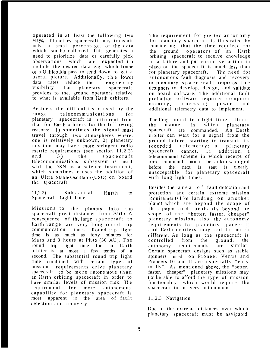operated in at least the following two ways, Planetary spacecraft may transmit only a small percentage. of the data which can bc collected. This generates a need to prioritize data or carefully pick observations which are cxpcctcd t o include the desired data e.g. which frame. of a Galileo Ida pass to send down to get a useful picture. Additionally, the lower data rates reduce the cnginccring visibility that planetary spacecraft provides to the. ground operators relative to what is available from Earth orbiters.

Beside.s the difficulties caused by the range, telecommunications for planetary spacecraft is different from that for Earth orbiters for the following reasons: 1) sometimes the signal must travel through two atmospheres where. one is relatively unknown, 2) planetary missions may have more stringent radio metric requirements (see section 11.2,3) and 3) the spacecraft telecommunications subsystem is used with the DSN as a science instrument. which sometimes causes the addition of an Ultra Stable Oscillator (USO) on board the spacecraft.

11,2.2) Substantial Earth to Spacecraft Light Time

Missions to the planets take the spacecraft great distances from Earth, A consequence of the large spacecraft to Earth range are very long round trip communication times. Round-trip light time is as much as forty minutes for Mars and 8 hours at Pluto  $(30 \text{ AU})$ . The round trip light time for an Earth orbiter is at most a few tenths of a second. The substantial round trip light time combined with certain types of mission requirements drive planetary spacecraft to be more autonomous than an Earth orbiting spacecraft in order to have similar levels of mission risk. The requirement for more autonomous capability for planetary spacecraft is most apparent in the area of fault detection and recovery.

The requirement for greater autonomy for planetary spacecraft is illustrated by considering that the time required for the ground operators of an Earth orbiting spacecraft to receive knowledge of a failure and put corrective action in place on the spacecraft is much less than for planetary spacecraft, The need for autonomous fault diagnosis and recovery on planetary spacecraft requires the designers to develop, design, and validate on board software. The additional fault protection software requires computer memory, processing power and additional telemetry data to implement.

The long round trip light time affects<br>the manner in which planetary the manner in which planetary spacecraft are commanded. An Earth orbiter can wait for a signal from the ground before. starting to transmit its recorded telemetry; a planetary spacecraft cannot. In addition, a telecommand scheme in which receipt of one command must be acknowledged before the next is sent is clearly unacceptable for planetary spacecraft with long light times.

Besides the  $a \rceil$  area of fault detection and protection and certain extreme mission requirements like landing on another planet which are beyond the scope of this paper and probably beyond the scope of the "better, faster, cheaper" planetary missions also; the autonomy requirements for planetary spacecraft and Earth orbiters may not be much different. As long as the spacecraft is controlled from the ground, the autonomy requirements are similar. Certain spacecraft designs such as stable spinners used on Pioneer Venus and Pioneers 10 and 11 are especially "easy to fly". As mentioned above, the "better, faster, cheaper" planetary missions may not be able to afford the type of mission functionality which would require the spacecraft to be very autonomous.

## 11,2.3 Navigation

Due to the extreme distances over which planetary spacecraft must be navigated,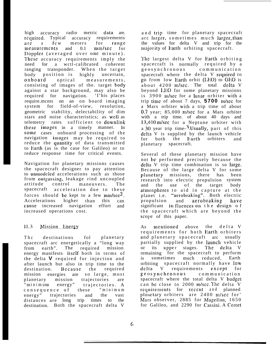high accuracy radio metric data are. required. Typical accuracy requirements<br>are a few meters for range are a few meters for range<br>measurements and 0.1 mm/sec for measurements and l)opp]cr (averaged over onc minute) . These accuracy requirements imply the need for a wctl-calibrated coherent ranging transponder. When the target body position is highly uncertain, onboard optical measurements, consisting of images of the. target body against a star background, may also be required for navigation. 'I'his places require.mcnts on an on board imaging system for field-of-view, resolution, geometric stability, delectability of dim stars and noise characteristics; as well as telemetry rates sufficient to downlink these images in a timely manner. In some cases onboard processing of the navigation images may be required to reduce the quantity of data transmitted to Earth (as is the case for Galileo) or to reduce response time for critical events.

Navigation for planetary missions causes the spacecraft designer to pay attention to unmodcled accelerations such as those from outgassing, leakage rind uncoupled attitude control maneuvers. The spacecraft acceleration due to these forces should be kept to a few  $mm/sec<sup>2</sup>$ . Accelerations higher than this can cause. increased navigation effort and increased operations cost.

#### $II.3$ Mission Energy

The destinations fol planetary spacecraft arc energetically a "long way from earth". The required mission energy manifests itself both in terms of the delta **V** required for injection and after launch but also in trip time to the destination. Hecausc the required mission energies are so large, most planetary mission trajectories are "minimum energy" trajectories. A consequence of these "minimum energy" trajectories and the vast distances are long trip times to the destination. Both the spacecraft delta V

and trip time for planetary spacecraft arc larger, sometimes much larger, than the values for delta V and trip for the majority of Earth orbiting spacecraft.

The largest delta V for Earth orbiting spacecraft is normally required by a geosynchronous communication spacecraft where the delta V required to go from low Earth orbit (LEO) to GEO is about  $4200$  m/sec. The total delta V beyond LEO for some planetary missions is 3900 m/sec for a lunar orbiter with a trip time of about 7 days, **5700** m/sec for a Mars orbiter with a trip time of about 0.7 year; 85,000 m/sec for a Mars orbiter with a trip time. of about 40 days and 13,400 m/scc for a Neptune orbiter with a 30 year trip time- $3$ . Usually, part of this delta V is supplied by the launch vehicle for both the Earth orbiters and planetary spacecraft.

Several of these planetary mission have not be performed precisely because the delta V trip time combination is so large. Because of the large delta V for some planetary missions, there has been research into electric propulsion system and the use of the target body atmospheres to aid in capture at the planet i.e. "acrobraking". Both electric propulsion and aerobraking have significant in fluences on the design of the spacecraft which are beyond the scope of this paper.

As mentioned above the delta V requirements for both Harth orbiters and planetary spacecraft arc usually partially supplied by the launch vehicle or its upper stages. The delta V remaining for the spacecraft to perform is sometimes much reduced. Earth orbiting spacecraft normally have low delta V requirements except for geosynchronous communication spacecraft where the total delta V budget can be close to 2000 m/sec. The delta V requirements for recent and planned planetary orbiters are 2400 m/sec for' Mars observer, 2885 for Magellan, 1650 for Galileo, and 2290 for Cassini. A Comet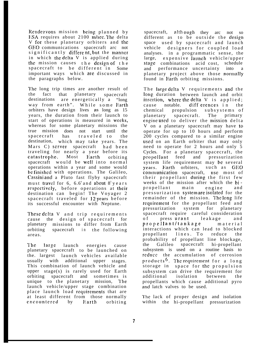Rendezvous mission being planned by ESA requires about 2100 m/sec. The delta V for these planetary orbiters and the GEO communications spacecraft arc not significantly different, but the manner in which the delta V is applied during the mission causes the design of the spacecraft to be different in Some important ways which ate discussed in the paragraphs below.

The long trip times are another result of the fact that planetary spacecraft destinations are energetically a "long way from earth". While some Earth orbiters have design lives as long as 15 years, the duration from their launch to start of operations is measured in weeks, whereas for some planetary missions the true mission does not start until the spacecraft has traveled to the destination, which may take years. The Mars C) server spacecraft had been traveling for nearly a year before its catastrophe. Most Earth orbiting spacecraft would be well into normal operations within a year and some would be finished with operations. The Galileo, Cassini and a Pluto fast flyby spacecraft must travel for 6,  $6.6^4$  and about  $8^5$  years respectively, before operations at their destination can begin! The Voyager 2 spacecraft traveled for 12 years before its successful encounter with Neptune.

These delta V and trip requirements cause the design of spacecraft for planetary missions to differ from Earth orbiting spacecraft in the following areas.

The large launch energies cause planetary spacecraft to be launched on the. largest launch vehicles available usually with additional upper stages. This combination of launch vehicle and upper stage(s) is rarely used for Earth orbiting spacecraft and sometimes is unique to the planetary mission, The launch vehicle/upper stage combination place launch load requirements that are at least different from those normally encountered by Earth orbiting

spacecraft, although they arc not so different as to be outside the design space used by spacecraft and launch vehicle designers for coupled load analyses. in a programmatic sense, the large, expensive launch vehicle/upper stage combinations acid cost, schedule and performance uncertainty into planetary project above those normally found in Earth orbiting missions.

The large delta V requirements and the long. duration between launch and orbit insertion, where the delta  $V$  is applied; cause notable. differences in the chemical propulsion subsystems of planetary spacecraft. The primary engine used to deliver the mission delta V on a planetary spacecraft may have to operate for up to 10 hours and perform 200 cycles compared to a similar engine used on an Earth orbiter that may only need to operate for 2 hours and only 5 Cycles. For a planetary spacecraft, the prc)pellant feed and pressurization system life requirement may be several years. Earth orbiters, such as GEO communication spacecraft, use most of their propellant during the first few weeks of the mission after which the bi propellant main engine and pressurization system are isolated for the remainder of the mission. The long life requirement for the propellant feed and pressurization system for planetary spacecraft require careful consideration<br>of pressurant leakage and of pressurant leakage and prc)pel <sup>l</sup> ant/tankage materia <sup>l</sup> interactions which can lead to blocked propellant lines. To reduce the probability of propellant line blockage, the Galileo spacecraft hi-propellant subsystem is used on a routine basis to reduce the accumulation of corrosion products<sup>6</sup>. The requirement for a long storage in space for the propulsion subsystem can drive the requirement for additional isolation between the propellants which cause additional pyro and latch valves to be used.

The lack of proper design and isolation within the hi-propellant pressurization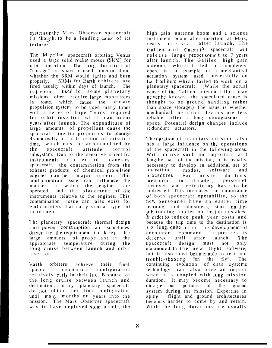system on the, Mars Observer spacecraft is thought to be a leading cause of its failure<sup>7</sup>.

The Magellan spacecraft orbiting Venus used a large solid rocket motor (SRM) for orbit insertion. The long duration of "storage" in space caused concern about whether the SRM would ignite and burn properly. SRMs for Earth orbiters are fired usually within days of launch. The trajectories used for some planetary missions often require large maneuvers in route, which cause the primary propulsion system to be used many times with a series of large "burns" required for orbit insertion which can occur years after launch. The expenditure of large amounts of propellant cause the spacecraft inertia properties to change dramatically as a function of mission time, which must be accommodated by the spacecraft attitude control subsystem. Due to the sensitive scientific instruments carried on planetary spacecraft, the contamination from the exhaust products of chemical propulsion engines can be a major concern. This contamination issue can influence the manner in which the engines are operated and the placement of the instruments relative to the engines. This contamination issue can also exist for Earth orbiters that carry similar types of instruments.

The planetary spacecraft thermal design and power consumption arc sometimes driven by the requirement to keep the large amounts of propellant at the appropriate temperature during the long cruise between launch and orbit insertion.

Earth orbiters achieve their final spacecraft mechanical configuration relatively carly in their life. Because of the long cruise between launch and destination, man y planetary spacecraft do nol obtain their final configuration until many months or years into the mission. The Mars Observer spacecraft was to have deployed solar panels, the

high gain antenna boom and a science instrument boom after insertion at Mars, nearly one year after launch, The Galileo and  $\text{Cassini}^5$  spacecraft will release large probes some 6 to 7 years after launch. The Galileo high gain antenna, which failed to completely open, is an example of a mechanical actuation system used successfully on Earth orbiters which failed to work on a planetary spacecraft. (While the actual cause of the Galileo antenna failure may ne ver be known, the speculated cause is thought to be ground handling rather than space storage.) The issue is whether mechanical actuation devices are less reliable after a long storage/soak in space. Potential design changes include re dund ant actuators.

The duration of planetary missions also has a large influence on the operations of the spacecraft in the following areas. With cruise such an important and lengthy part of the mission, it is usually necessary to develop an additional set of<br>operational modes, software and operational procedures. Foi mission durations measured in decades, personnel turnover and retraining have to be addressed. This increases the importance of both spacecraft operability, so the new personnel have an easier time learning, and robustness, since on-thejob training implies on-the-job mistakes. In order to reduce peak year costs and because the trip time to the destination is so long, quite often the development of encounter command sequences is deferred until after launch. The spacecraft design must not only accommodate the new flight software, but it also must be amenable to test and trc)uble-shooting "on the fly". The continuing evolution of data systems technology can also have an impact when it is coupled with long mission duration. It may become necessary to change out portions of the ground system during the mission. Expertise in aging flight and ground architectures bccomcs harder to come by and retain. While the long durations are usually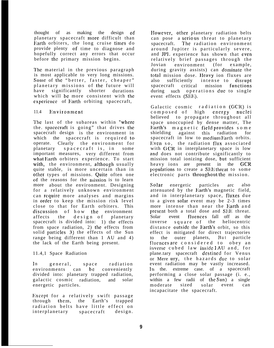thought of as making the design of planetary spacecraft more difficult than Earth orbiters, the long cruise times do provide plenty of time to diagnose and hopefully correct any errors that occur before the primary mission begins.

The material in the previous paragraph is most applicable to very long missions. Some of the "better, faster, cheaper" planetary missions of the future will have significantly shorter durations which will be more consistent with the experience of Earth orbiting spacecraft,

#### 11.4 Environment

The last of the subareas within "where the. spacecraft is going" that drives the spacecraft design is the environment in which the spacecraft is required to operate. Clearly the environment for planetary spacecraft is, in some important measures, very different from what Earth orbiters experience. To start with, the environment, although usually quite stable, is more uncertain than in other types of missions. Quite often one of the reasons for the mission is to learn more about the environment. Designing for a relatively unknown environment can require more analyses and margins in order to keep the mission risk level close to that for Earth orbiters. This discussion of how the environment affects the design of planetary spacecraft is divided into: 1) the effects from space radiation, 2) the effects from solid particles 3) the effects of the Sun range being different than 1 AU and 4) the lack of the Earth being present.

### 11.4,1 Space Radiation

In general, space radiation environments can be conveniently divided into: planetary trapped radiation, galactic cosmic radiation, and solar energetic particles.

Except for a relatively swift passage through thcm, the Earth's trapped radiation belts have little effect on interplanetary spacecraft design. However, other planetary radiation belts can pose a serious threat to planetary spacecraft. The radiation environment around Jupiter is particularly severe, and JPI. experience has shown that even relatively brief passages through the Jovian environment (for example, during gravity assists) can dominate the total mission dose. IIeavy ion fluxes are also sufficiently intense to disrupt spacecraft critical mission functions during such operations due to single event effects (SEE).

Galactic cosmic radiation (GCR) is composed of high energy nuclei believed to propagate throughout all space unoccupied by dense matter, The Earth's magnetic field provides some<br>shielding against this radiation for against this radiation spacecraft in low to medium Earth orbits. Even so, the radiation flux associated with GCR in interplanetary space is low and does not contribute significantly to mission total ionizing dose, but sufficient heavy ions are present in the GCR populations to create a SEE threat to some electronic parts throughout the mission.

Solar energetic particles arc also attenuated by the Earth's magnetic field, and in interplanetary space, fluxes due to a given solar event may be 2-3 times more intense than near the Earth and present both a total dose and SEE threat. Solar event fluences fall off as the inverse square of the heliocentric distance outside the Earth's orbit, so this effect is mitigated for direct trajectories to the outer planets. But particle fluences are considered to obey an inverse cubed law inside 1 AU and, for plane.tary spacecraft destined for Venus or Mere ury, the hazards due to solar event radiation may be vastly increased. In the extreme case, of a spacecraft performing a close solar passage (i. e., within a few radii of the Sun) a single moderate sized solar event can incapacitate the spacecraft.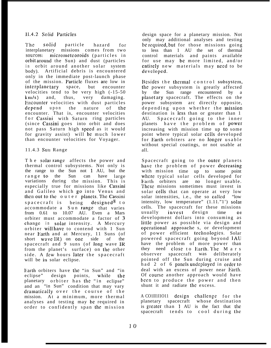# 11.4.2 Solid Parliclcs

The solid particle hazard for<br>interplanetary missions comes from two missions comes from two sources: micrometeoroids (particles in orbit around the Sun) and dust (particles in orbit around another solar system body). Artificial debris is encountered only in the immediate post-launch phase of the mission. Particle fluxes are low in interplanctary space, but encounter velocities tend to be very high (-15-50  $km/s$ ) and, thus, very damaging. Encounter velocities with dust particles depend upon the nature of the encounter. That is, encounter velocities for Cassini with Saturn ring particles (since Cassini goes into orbit and does not pass Saturn high speed as it would for gravity assist) will be much lower than encounter velocities for Voyager.

# 11.4.3 Sun Range

The solar-range affects the power and thermal control subsystems. Not only is the range to the Sun not 1 AU, but the range to the Sun can have large variations during the mission. This is especially true for missions like Cassini and Galileo which go into Venus and then out to the outer planets. The Cassini spacecraft is being designed  $8$  to accommodate a Sun range that varies from 0.61 to 10.07 AU. Even a Mars orbiter must accommodate a factor of 3 change in solar intensity. A Mercury orbiter will have to contend with 1 Sun near Earth and at Mercury, 11 Suns (of short wave IR) on one side of the spacecraft and 9 suns (of long wave IR from the planet's surface) on the other side. A few hours later the spacecraft will be in solar eclipse.

Earth orbiters have the "in Sun" and "in eclipse" design points, while the planetary orbiter has the "in eclipse" and an "in Sun" condition that may vary dramatically over the course of the mission. At a minimum, more thermal analyses and testing may be required in order to confidently span the mission design space for a planetary mission. Not only may additional analyses and testing be required, but for those missions going to less than 1 AU the set of thermal control materials and paints available for use may be more limited, and/or entirely new materials may need to be developed.

Besides the thermal control subsystem, the power subsystem is greatly affected by the Sun range encountered by a planetary spacecraft. The effects on the power subsystem arc directly opposite, depending upon whether the mission destination is less than or greater than 1 AU. Spacecraft going to the inner planets have the problem of power increasing with mission time up to some point where typical solar cells developed for *Earth* orbiters are no longer usable without special coatings, or not usable at all.

Spacecraft going to the outer planets have the problem of power decreasing with mission time up to some point where typical solar cells developed for<br>Earth orbiters are no longer usable. no longer usable. These missions sometimes must invest in solar cells that can operate at very low solar intensities, i.e., the so called "low intensity, low temperature" (1.11."1') solar cells. The spacecraft for these missions usually invest design time or development dollars into consuming as little power as possible via design and opcrational approache s, or development of power efficient technologies. Solar powered spacecraft going beyond 1AU have the problem of more power than they need close to Earth. The M a r s observer spacecraft was deliberately pointed off the Sun during cruise and had 2 of 6 panels undeployed in order to deal with an excess of power near Earth. Of course another approach would have been to produce the power and then shunt it and radiate the excess.

A CO1II1I1011 design challenge for the planetary spacecraft whose destination is greater than 1 AU is the fact that the spacecraft tends to cool during the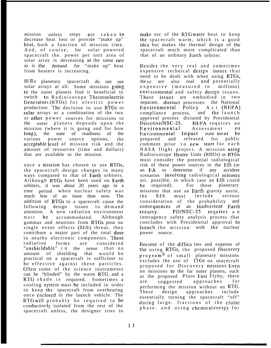mission unless steps are taken to decrease heat loss or provide "make up" heat, both a function of mission time. And, of course, for solar powered spacecraft the. power per unit area of solar array is decreasing at the same rate as is the demand for "make up" heat from heaters is increasing.

SOM<sub>c</sub> planetary spacecraft do not use solar arrays at all. Some missions going to the outer planets find it beneficial to switch to Radioisotope Thermoelectric Generators (RTGs) for electric power production The decision to use RTGs or solar arrays or a combination of the two or other power sources for missions to the outer planets depends upon the mission (where it is going and for how long), the state of readiness of the various power source options, the acceptable level of mission risk and the amount of resources (time and dollars) that are available to the mission.

once a mission has chosen to use RTGs, the spacecraft design changes in many ways compared to that of Earth orbiters. Although RTGs have been used on Earth orbiters, it was about 20 years ago in a time period when nuclear safety was much less of an issue than now. The addition of RTGs to a spacecraft cause the following design issues to demand attention. A new radiation environment must be accommodated. Although gammas and neutrons from R1'Gs pose no single event effects (SEE) threat, they contribute a major part of the total dose to nearby electronic components. These radiation forms are considered "unshieldable" i n the sense that no amount of shielding that would be practical on a spacecraft is sufficient to bc effective against these particles. Often some of the science instruments can be "blinded" by the warm RTG, and a RTG shade is required. Sometimes a cooling systcm must be included in order to keep the spacecraft from overheating once enclosed in the launch vehicle. The RTG will probably be required to be conductivcly isolated from the rest of the spacecraft unless, the designer tries to

make usc of the RTG waste heat to keep the spacecraft warm, which is a good idea but makes the thermal design of the spacecraft much more complicated than that of an ordinary Earth orbiter.

Besides the very real and sometimes expensive technical design issues that need to be dealt with when using RTGs,<br>there are also real and potentially also real and potentially expensive (measured in millions) envi ronmental and safety design issues. These issues are embodied in two separate, distinct processes: the National Environmental Policy Act (NEPA) compliance process, and the launch approval process dictated by Presidential<br>Directive/NSC-25. NEPA requires an NEPA requires an Environmental Assessment<br>Environmental Impact state me Environmental Assessment or<br>Environmental Impact state ment be prepared and released for public comment prior to new start for each NASA flight project. A mission using Radioisotope Heater Units (RHUs) or RTGs must consider the potential radiological risk of these power sources in the EIS (or an RA to determine if any accident scenarios involving radiological releases arc. possible, in which case an EIS could bc required). For those planetary missions that use an Earth gravity assist, the EIS must include serious consideration of the probability and consequences of an inadvertent Harth reentry. PD/NSC-25 requires a n interagency safety analysis process that concludes with Presidential approval to launch the mission with the nuclear power source.

Because of the difficu ties and expense of the using RTGs, the proposed Discovery program<sup>9</sup> of small planetary missions excludes the use of KTGs on spacecraft proposed for Discovery missions. Even on missions to the far outer planets, such as the proposed Pluto Fast Flyby, there are suggested approaches for performing the mission without an RTG. These design approaches include essentially turning the spacecraft "off" during large. fractions of the cruise phase. and using chemical energy for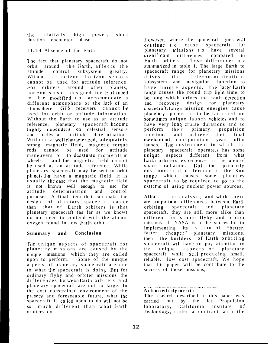the relatively high power, short duration encounter phase.

### 11.4.4 Absence of the liarth

The fact that planetary spacecraft do not orbit around the Harth, affects th e attitude. control subsystem greatly. Without a horizon, horizon sensors cannot be used for attitude reference. For orbiters around other planets, horizon sensors designed for Earth need to be modified to accommodate a different atmosphere or the lack of an atmosphere. GPS receivers cannot be used for orbit or attitude information. Without the Earth to use as an attitude reference, planetary spacecraft become highly dependent on celestial sensors and celestial attitude determination. Without a well characterized, adequately strong magnetic field, magnetic torque rods cannot be used for attitude maneuvers or to desatuate momentum<br>wheels and the magnetic field cannot and the magnetic field cannot bc used as an attitude reference. While planetary spacecraft may be sent to orbit planets that have a magnetic field, it is usually the case that the magnetic field is not known well enough to usc for attitude determination and control purposes. A final item that can make the design of planetary spacecraft easier than that of Earth orbiters is that planetary spacecraft (as far as we know) do not need to contend with the atomic oxygen found in low Earth orbit.

### **Summary and Conclusion**

The unique aspects of spacecraft for planetary missions are caused by the unique missions which they are called upon to perform. Some of the unique aspects of planetary spacecraft are due to what the spacecraft is doing, Hut for ordinary flyby and orbiter missions the differences between Earth orbiters and planetary spacecraft are not so large. In the cost constrained environment of the prcse. nt and foreseeable future, what the spacecraft is called upon to do will not be so much different than what Earth orbiters do.

IIowcvcr, where the spacecraft goes will continue to cause spacecraft for<br>planetary missions to have several planetary missions to have significant differences compared to Eaith orbiters. These differences arc summarized in table 1. The large Earth to spacecraft range for planetary missions drives the telecommunications subsystem and navigation function to have unique aspects. The large Earth range. causes the round trip light time to be long which drives the fault detection and recovery design for planetary spacecraft. Large mission energies cause planctary spacecraft to be launched on sometimes unique launch vehicles and to have very long cruise durations and to<br>perform their primary propulsion their primary propulsion functions and achieve their final mechanical configurations years after launch. The environment in which the planetary spacecraft operate.s has some unique aspects different from what Earth orbiters experience in the area of space radiation. But the primarily space radiation. But the environmental difference is the Sun range which causes some planetary spacecraft to be required to go to the extreme of using nuclear power sources.

After all the analysis, and while there are important differences between Earth orbiting spacecraft and planetary spacecraft, they are still more alike than different for simple flyby and orbiter missions. If NASA is to be successful in implementing its vision of "better, faster, cheaper" planetary missions, then the builders of Earth orbitin g spacecraft will have to pay attention to the. unique aspects of planetary spacecraft while still producing small, reliable, low cost spacecraft. We hope that this paper will be contribute to the success of those missions,

#### .. . . .—. -— —..... .—-— ——— - -.. . ..-— .— .--— **Acknowledgment :**

**The** research described in this paper was carried out by the Jet Propulsion laboratory, California Institute of Technology, under a contract with the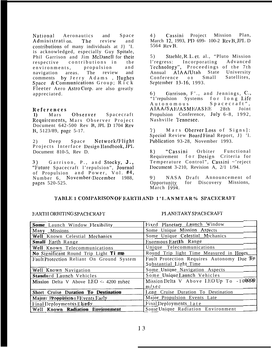**National** Aeronautics and Space Administrati on. The review and contributions of many individuals at J} 'I. is acknowledged, especially Guy Spitale, Phil Garrison and Jim McDanell for their contributions in  $th \rho$ respective environments, propulsion and The review and navigation areas. comments by Jerry Adams, Hughes Space & Communications Group; Rick Fleeter Aero AstroCorp. are also greatly appreciated.

### References

Observer Spacecraft  $\bf{1}$ Mars Requirements, Mars Observer Project Document 642-500 Rev B, JPL D 1704 Rev B, 5123/89, page 5-17.

 $2)$ Deep Space Network/Flight Projects Interface Design Handbook, JPL Document 810-5, Rev D.

Garrison, P., and Stocky, J.,  $3)$ "Future Spacecraft l'repulsion", Journal of Propulsion and Power, Vol. #4, Number 6, November-December 1988, pages 520-525.

Cassini Project Mission Plan. 4) March 12, 1993, PD 699-100-2 Rev B, JPL D 5564 Rev B.

 $5)$ Stachle, R.L. et. al., "Pluto Mission Incorporating Advanced  $l$ 'regress: Technology", Proceedings of the 7th Annual AIAA/Utah State University Satellites, Conference on Small September 13-16, 1993.

Garrison, F'., and Jennings, C., 6) "1'repulsion" Systems for long Life Autonomous Spacecraft", AIAA/SAE/ASME/ASEE  $28th$ Joint Propulsion Conference, July 6-8, 1992, Nashville Tennesee.

Mars Oberver Loss of Signs]:  $7)$ Special Review Board Final Report, J }'1. Publication 93-28. November 1993.

8) "Cassini Orbiter Functional Requirement for Design Criteria for Temperature Control", Cassini ~'reject Document 3-210, Revision A,  $2/1$  1/94.

NASA Draft Announcement of  $9)$ Opportunity for Discovery Missions.  $\overline{\text{March}}$   $\overline{1994}$ .

### TABLE 1 COMPARISON OF EARTH AND 1'I.ANMTAR% SPACECRAFT

### EARTH ORBITING SPACECRAFT

### PLANETARY SPACECRAFT

| Somme Launch Window Flexibility           | Fixed Planetary Launch Window                                       |
|-------------------------------------------|---------------------------------------------------------------------|
| Many Missions                             | Some Unique Mission Aspects                                         |
| Well Known Celestial Mechanics            | Some Unique Celestial Mechanics                                     |
| Smalll Earth Range                        | Enormous Earth Range                                                |
| Well Known Telecommunications             | Unique Telecommunications                                           |
| No Significant Round Trip Light Time      | Round Trip light Time Measured in Hours                             |
| Fault Protection Reliant On Ground System | Fault Protection Requires Autonomy Due To<br>Substantial Light Time |
| Well Known Navigation                     | Some Unique Navigation Aspects                                      |
| Standard Launch Vehicles                  | Some Unique Launch Vehicles                                         |
| Mission Delta V Above LEO <- 4200 m/sec   | Mission Delta V Above LEO Up To -100000<br>m/sec                    |
| Short Cruise Duration To Destination      | Long Cruise Duration To Destination                                 |
| Major Propplskin EEvents Early            | Major Propulsion Events Late                                        |
| Final Deploymentss Elarly                 | Final Deployments late                                              |
| Well Known Radiation Environment          | Some Unique Radiation Environment                                   |